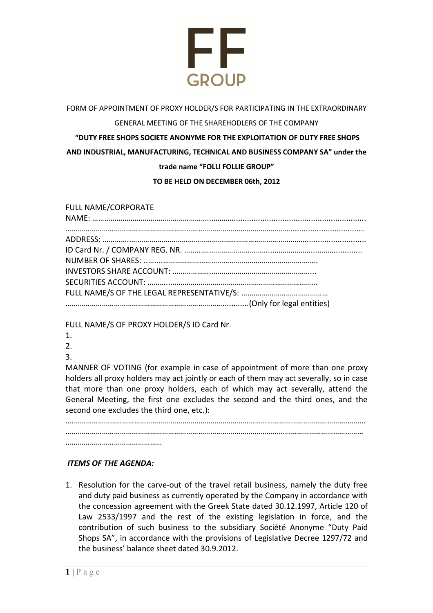

## FORM OF APPOINTMENT OF PROXY HOLDER/S FOR PARTICIPATING IN THE EXTRAORDINARY GENERAL MEETING OF THE SHAREHODLERS OF THE COMPANY **"DUTY FREE SHOPS SOCIETE ANONYME FOR THE EXPLOITATION OF DUTY FREE SHOPS AND INDUSTRIAL, MANUFACTURING, TECHNICAL AND BUSINESS COMPANY SA" under the trade name "FOLLI FOLLIE GROUP" TO BE HELD ON DECEMBER 06th, 2012**

## FULL NAME/CORPORATE

FULL NAME/S OF PROXY HOLDER/S ID Card Nr.

- 1.
- $2<sup>2</sup>$
- 3.

MANNER OF VOTING (for example in case of appointment of more than one proxy holders all proxy holders may act jointly or each of them may act severally, so in case that more than one proxy holders, each of which may act severally, attend the General Meeting, the first one excludes the second and the third ones, and the second one excludes the third one, etc.):

….……………………………………………………………………………………………………………………….……… ……………………………………………………………………………………………….………………………………… …………………………………………

## *ITEMS OF THE AGENDA:*

1. Resolution for the carve-out of the travel retail business, namely the duty free and duty paid business as currently operated by the Company in accordance with the concession agreement with the Greek State dated 30.12.1997, Article 120 of Law 2533/1997 and the rest of the existing legislation in force, and the contribution of such business to the subsidiary Société Anonyme "Duty Paid Shops SA", in accordance with the provisions of Legislative Decree 1297/72 and the business' balance sheet dated 30.9.2012.